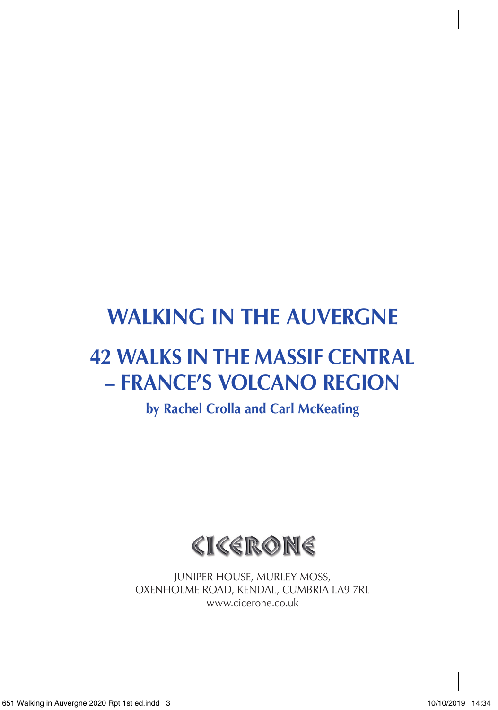# **WALKING IN THE AUVERGNE**

## **42 WALKS IN THE MASSIF CENTRAL – FRANCE'S VOLCANO REGION**

**by Rachel Crolla and Carl McKeating**

CICERONE

JUNIPER HOUSE, MURLEY MOSS, OXENHOLME ROAD, KENDAL, CUMBRIA LA9 7RL www.cicerone.co.uk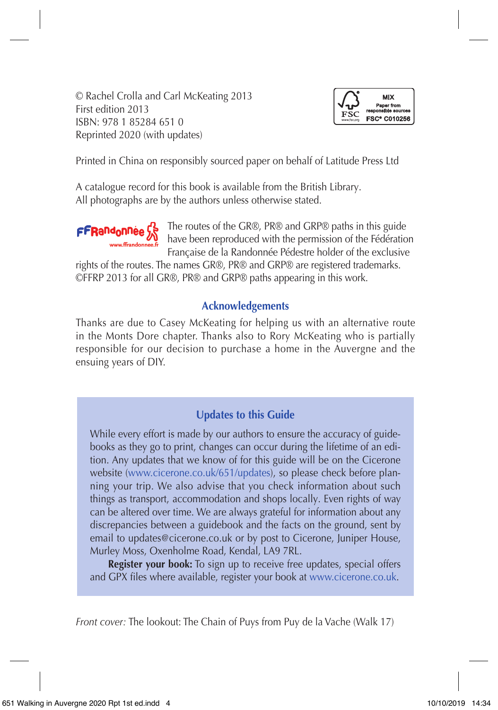© Rachel Crolla and Carl McKeating 2013 First edition 2013 ISBN: 978 1 85284 651 0 Reprinted 2020 (with updates)



Printed in China on responsibly sourced paper on behalf of Latitude Press Ltd

A catalogue record for this book is available from the British Library. All photographs are by the authors unless otherwise stated.



The routes of the GR®, PR® and GRP® paths in this guide have been reproduced with the permission of the Fédération Française de la Randonnée Pédestre holder of the exclusive

rights of the routes. The names GR®, PR® and GRP® are registered trademarks. ©FFRP 2013 for all GR®, PR® and GRP® paths appearing in this work.

#### **Acknowledgements**

Thanks are due to Casey McKeating for helping us with an alternative route in the Monts Dore chapter. Thanks also to Rory McKeating who is partially responsible for our decision to purchase a home in the Auvergne and the ensuing years of DIY.

### **Updates to this Guide**

While every effort is made by our authors to ensure the accuracy of guidebooks as they go to print, changes can occur during the lifetime of an edition. Any updates that we know of for this guide will be on the Cicerone website (www.cicerone.co.uk/651/updates), so please check before planning your trip. We also advise that you check information about such things as transport, accommodation and shops locally. Even rights of way can be altered over time. We are always grateful for information about any discrepancies between a guidebook and the facts on the ground, sent by email to updates@cicerone.co.uk or by post to Cicerone, Juniper House, Murley Moss, Oxenholme Road, Kendal, LA9 7RL.

**Register your book:** To sign up to receive free updates, special offers and GPX files where available, register your book at www.cicerone.co.uk.

*Front cover:* The lookout: The Chain of Puys from Puy de la Vache (Walk 17)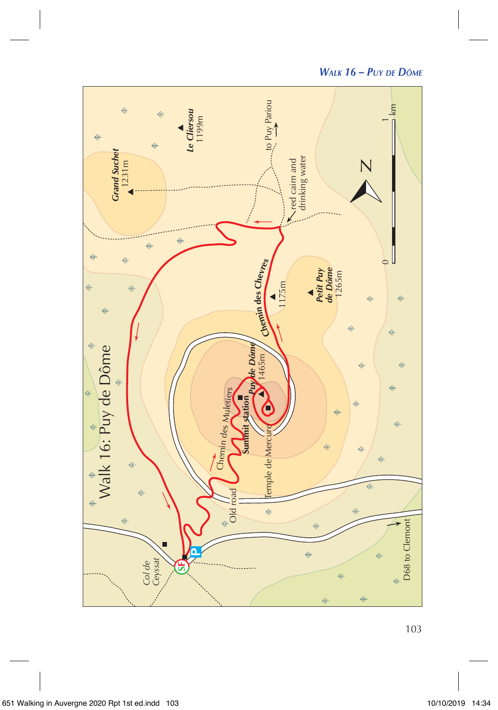

*Walk 16 – Puy de Dôme*

103